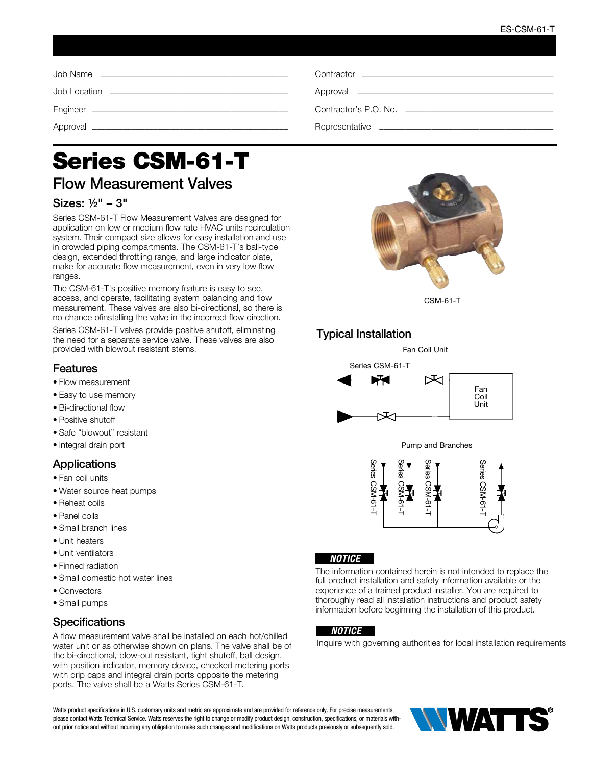| Contractor experience and the contractor of the contractor |
|------------------------------------------------------------|
|                                                            |
| Contractor's P.O. No.                                      |
|                                                            |

# Series CSM-61-T

# Flow Measurement Valves

## Sizes: ½" – 3"

Series CSM-61-T Flow Measurement Valves are designed for application on low or medium flow rate HVAC units recirculation system. Their compact size allows for easy installation and use in crowded piping compartments. The CSM-61-T's ball-type design, extended throttling range, and large indicator plate, make for accurate flow measurement, even in very low flow ranges.

The CSM-61-T's positive memory feature is easy to see, access, and operate, facilitating system balancing and flow measurement. These valves are also bi-directional, so there is no chance ofinstalling the valve in the incorrect flow direction.

Series CSM-61-T valves provide positive shutoff, eliminating the need for a separate service valve. These valves are also provided with blowout resistant stems.

## Features

- Flow measurement
- Easy to use memory
- Bi-directional flow
- Positive shutoff
- Safe "blowout" resistant
- Integral drain port

## **Applications**

- Fan coil units
- Water source heat pumps
- Reheat coils
- Panel coils
- Small branch lines
- Unit heaters
- Unit ventilators
- Finned radiation
- Small domestic hot water lines
- Convectors
- Small pumps

## **Specifications**

A flow measurement valve shall be installed on each hot/chilled water unit or as otherwise shown on plans. The valve shall be of the bi-directional, blow-out resistant, tight shutoff, ball design, with position indicator, memory device, checked metering ports with drip caps and integral drain ports opposite the metering ports. The valve shall be a Watts Series CSM-61-T.



CSM-61-T

## Typical Installation

Fan Coil Unit







#### *NOTICE*

The information contained herein is not intended to replace the full product installation and safety information available or the experience of a trained product installer. You are required to thoroughly read all installation instructions and product safety information before beginning the installation of this product.

#### *NOTICE*

Inquire with governing authorities for local installation requirements

Watts product specifications in U.S. customary units and metric are approximate and are provided for reference only. For precise measurements, please contact Watts Technical Service. Watts reserves the right to change or modify product design, construction, specifications, or materials without prior notice and without incurring any obligation to make such changes and modifications on Watts products previously or subsequently sold.